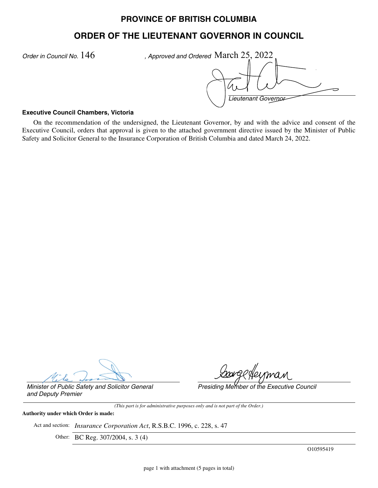## **PROVINCE OF BRITISH COLUMBIA**

## **ORDER OF THE LIEUTENANT GOVERNOR IN COUNCIL**

*Order in Council No.*  $146$  , Approved and Ordered March  $25,2022$ *Lieutenant Governor* ~<br><del>~</del>

## **Executive Council Chambers, Victoria**

On the recommendation of the undersigned, the Lieutenant Governor, by and with the advice and consent of the Executive Council, orders that approval is given to the attached government directive issued by the Minister of Public Safety and Solicitor General to the Insurance Corporation of British Columbia and dated March 24, 2022.

*Presiding Member of the Executive Council*

*Minister of Public Safety and Solicitor General and Deputy Premier*

*(This part is for administrative purposes only and is not part of the Order.)*

**Authority under which Order is made:**

Act and section: *Insurance Corporation Act*, R.S.B.C. 1996, c. 228, s. 47

Other: BC Reg. 307/2004, s. 3 (4)

O10595419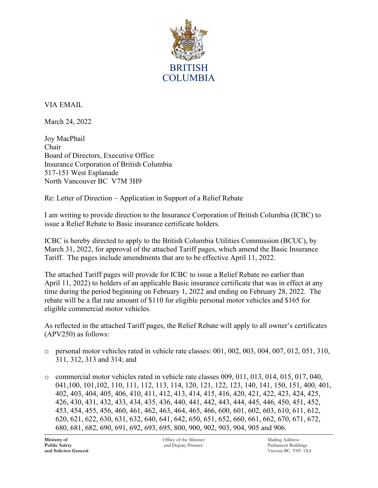

VIA EMAIL

March 24, 2022

Joy MacPhail Chair Board of Directors, Executive Office Insurance Corporation of British Columbia 517-151 West Esplanade North Vancouver BC V7M 3H9

Re: Letter of Direction – Application in Support of a Relief Rebate

I am writing to provide direction to the Insurance Corporation of British Columbia (ICBC) to issue a Relief Rebate to Basic insurance certificate holders.

ICBC is hereby directed to apply to the British Columbia Utilities Commission (BCUC), by March 31, 2022, for approval of the attached Tariff pages, which amend the Basic Insurance Tariff. The pages include amendments that are to be effective April 11, 2022.

The attached Tariff pages will provide for ICBC to issue a Relief Rebate no earlier than April 11, 2022) to holders of an applicable Basic insurance certificate that was in effect at any time during the period beginning on February 1, 2022 and ending on February 28, 2022. The rebate will be a flat rate amount of \$110 for eligible personal motor vehicles and \$165 for eligible commercial motor vehicles.

As reflected in the attached Tariff pages, the Relief Rebate will apply to all owner's certificates (APV250) as follows:

- $\circ$  personal motor vehicles rated in vehicle rate classes: 001, 002, 003, 004, 007, 012, 051, 310, 311, 312, 313 and 314; and
- $\circ$  commercial motor vehicles rated in vehicle rate classes 009, 011, 013, 014, 015, 017, 040, 041,100, 101,102, 110, 111, 112, 113, 114, 120, 121, 122, 123, 140, 141, 150, 151, 400, 401, 402, 403, 404, 405, 406, 410, 411, 412, 413, 414, 415, 416, 420, 421, 422, 423, 424, 425, 426, 430, 431, 432, 433, 434, 435, 436, 440, 441, 442, 443, 444, 445, 446, 450, 451, 452, 453, 454, 455, 456, 460, 461, 462, 463, 464, 465, 466, 600, 601, 602, 603, 610, 611, 612, 620, 621, 622, 630, 631, 632, 640, 641, 642, 650, 651, 652, 660, 661, 662, 670, 671, 672, 680, 681, 682, 690, 691, 692, 693, 695, 800, 900, 902, 903, 904, 905 and 906.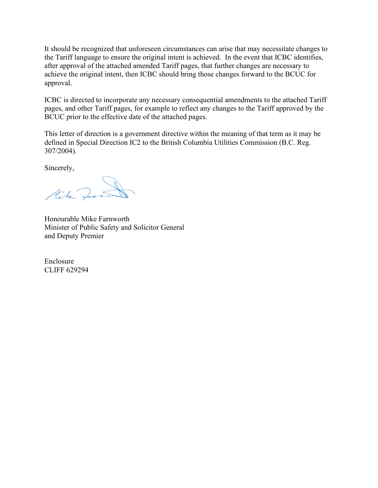It should be recognized that unforeseen circumstances can arise that may necessitate changes to the Tariff language to ensure the original intent is achieved. In the event that ICBC identifies, after approval of the attached amended Tariff pages, that further changes are necessary to achieve the original intent, then ICBC should bring those changes forward to the BCUC for approval.

ICBC is directed to incorporate any necessary consequential amendments to the attached Tariff pages, and other Tariff pages, for example to reflect any changes to the Tariff approved by the BCUC prior to the effective date of the attached pages.

This letter of direction is a government directive within the meaning of that term as it may be defined in Special Direction IC2 to the British Columbia Utilities Commission (B.C. Reg. 307/2004).

Sincerely,

Mile In

Honourable Mike Farnworth Minister of Public Safety and Solicitor General and Deputy Premier

Enclosure CLIFF 629294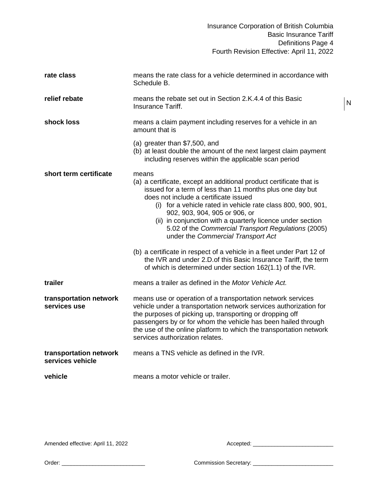N

| rate class                                 | means the rate class for a vehicle determined in accordance with<br>Schedule B.                                                                                                                                                                                                                                                                                                                                                                                                                                         |
|--------------------------------------------|-------------------------------------------------------------------------------------------------------------------------------------------------------------------------------------------------------------------------------------------------------------------------------------------------------------------------------------------------------------------------------------------------------------------------------------------------------------------------------------------------------------------------|
| relief rebate                              | means the rebate set out in Section 2.K.4.4 of this Basic<br>Insurance Tariff.                                                                                                                                                                                                                                                                                                                                                                                                                                          |
| shock loss                                 | means a claim payment including reserves for a vehicle in an<br>amount that is                                                                                                                                                                                                                                                                                                                                                                                                                                          |
|                                            | (a) greater than $$7,500$ , and<br>(b) at least double the amount of the next largest claim payment<br>including reserves within the applicable scan period                                                                                                                                                                                                                                                                                                                                                             |
| short term certificate                     | means<br>(a) a certificate, except an additional product certificate that is<br>issued for a term of less than 11 months plus one day but<br>does not include a certificate issued<br>(i) for a vehicle rated in vehicle rate class 800, 900, 901,<br>902, 903, 904, 905 or 906, or<br>(ii) in conjunction with a quarterly licence under section<br>5.02 of the Commercial Transport Regulations (2005)<br>under the Commercial Transport Act<br>(b) a certificate in respect of a vehicle in a fleet under Part 12 of |
|                                            | the IVR and under 2.D. of this Basic Insurance Tariff, the term<br>of which is determined under section 162(1.1) of the IVR.                                                                                                                                                                                                                                                                                                                                                                                            |
| trailer                                    | means a trailer as defined in the Motor Vehicle Act.                                                                                                                                                                                                                                                                                                                                                                                                                                                                    |
| transportation network<br>services use     | means use or operation of a transportation network services<br>vehicle under a transportation network services authorization for<br>the purposes of picking up, transporting or dropping off<br>passengers by or for whom the vehicle has been hailed through<br>the use of the online platform to which the transportation network<br>services authorization relates.                                                                                                                                                  |
| transportation network<br>services vehicle | means a TNS vehicle as defined in the IVR.                                                                                                                                                                                                                                                                                                                                                                                                                                                                              |
| vehicle                                    | means a motor vehicle or trailer.                                                                                                                                                                                                                                                                                                                                                                                                                                                                                       |

Amended effective: April 11, 2022 and the state of the Accepted: \_\_\_\_\_\_\_\_\_\_\_\_\_\_\_\_